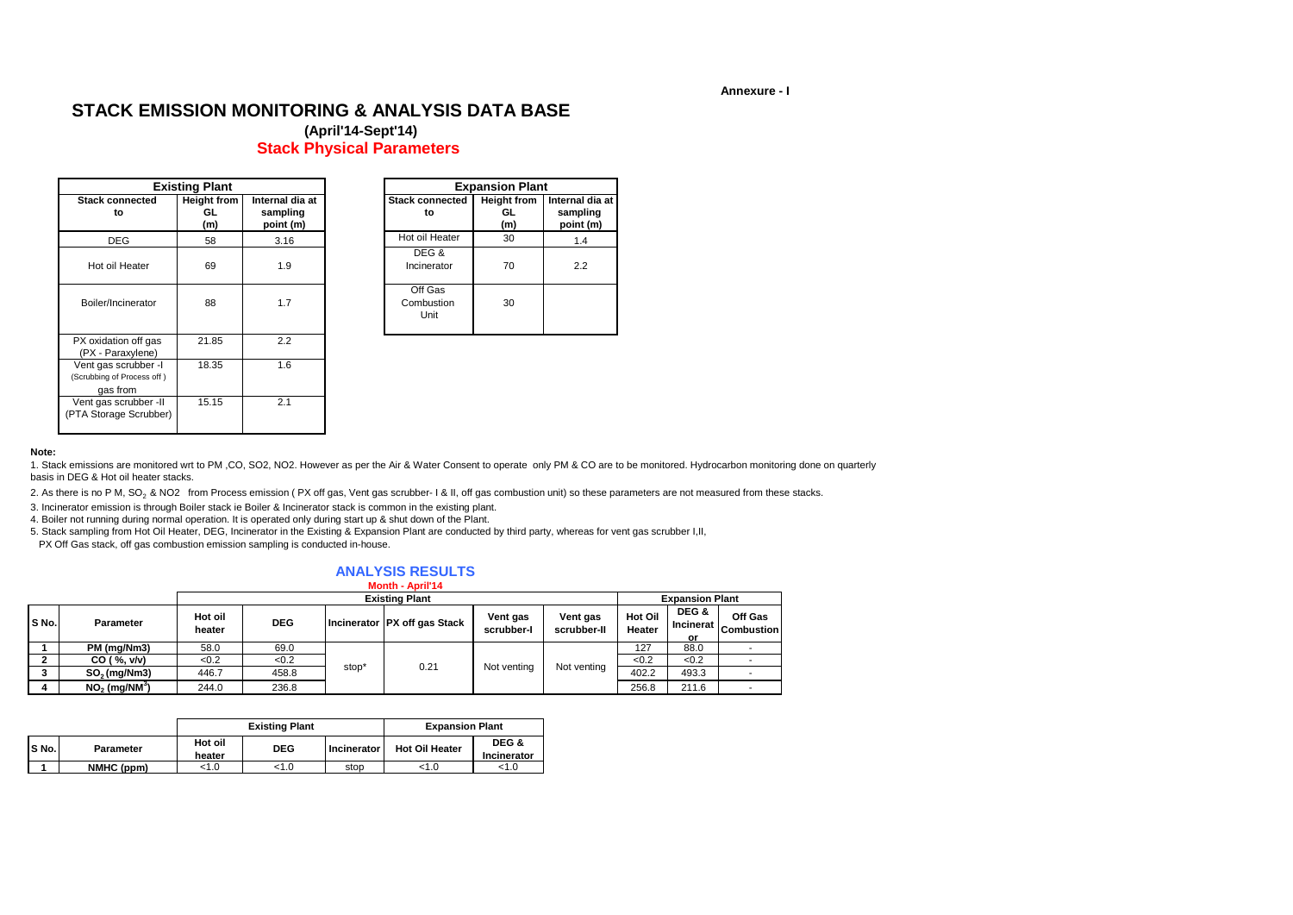**Annexure - I**

# **STACK EMISSION MONITORING & ANALYSIS DATA BASE**

**(April'14-Sept'14) Stack Physical Parameters**

|                                                                | <b>Existing Plant</b>           |                                          |                               | <b>Expansion Plant</b>          |                                          |
|----------------------------------------------------------------|---------------------------------|------------------------------------------|-------------------------------|---------------------------------|------------------------------------------|
| <b>Stack connected</b><br>to                                   | <b>Height from</b><br>GL<br>(m) | Internal dia at<br>sampling<br>point (m) | <b>Stack connected</b><br>to  | <b>Height from</b><br>GL<br>(m) | Internal dia at<br>sampling<br>point (m) |
| <b>DEG</b>                                                     | 58                              | 3.16                                     | Hot oil Heater                | 30                              | 1.4                                      |
| Hot oil Heater                                                 | 69                              | 1.9                                      | DEG &<br>Incinerator          | 70                              | 2.2                                      |
| Boiler/Incinerator                                             | 88                              | 1.7                                      | Off Gas<br>Combustion<br>Unit | 30                              |                                          |
| PX oxidation off gas<br>(PX - Paraxylene)                      | 21.85                           | 2.2                                      |                               |                                 |                                          |
| Vent gas scrubber -I<br>(Scrubbing of Process off)<br>gas from | 18.35                           | 1.6                                      |                               |                                 |                                          |
| Vent gas scrubber -II<br>(PTA Storage Scrubber)                | 15.15                           | 2.1                                      |                               |                                 |                                          |

|                | <b>Existing Plant</b>           |                                          |                               | <b>Expansion Plant</b>          |                                          |
|----------------|---------------------------------|------------------------------------------|-------------------------------|---------------------------------|------------------------------------------|
| onnected<br>to | <b>Height from</b><br>GL<br>(m) | Internal dia at<br>sampling<br>point (m) | <b>Stack connected</b><br>to  | <b>Height from</b><br>GL<br>(m) | Internal dia at<br>sampling<br>point (m) |
| EG             | 58                              | 3.16                                     | Hot oil Heater                | 30                              | 1.4                                      |
| I Heater       | 69                              | 1.9                                      | DEG &<br>Incinerator          | 70                              | 2.2                                      |
| ncinerator     | 88                              | 1.7                                      | Off Gas<br>Combustion<br>Unit | 30                              |                                          |
|                |                                 |                                          |                               |                                 |                                          |

#### **Note:**

1. Stack emissions are monitored wrt to PM ,CO, SO2, NO2. However as per the Air & Water Consent to operate only PM & CO are to be monitored. Hydrocarbon monitoring done on quarterly basis in DEG & Hot oil heater stacks.

2. As there is no P M, SO<sub>2</sub> & NO2 from Process emission (PX off gas, Vent gas scrubber- I & II, off gas combustion unit) so these parameters are not measured from these stacks.

3. Incinerator emission is through Boiler stack ie Boiler & Incinerator stack is common in the existing plant.

4. Boiler not running during normal operation. It is operated only during start up & shut down of the Plant.

5. Stack sampling from Hot Oil Heater, DEG, Incinerator in the Existing & Expansion Plant are conducted by third party, whereas for vent gas scrubber I,II,

PX Off Gas stack, off gas combustion emission sampling is conducted in-house.

#### **ANALYSIS RESULTS Month - Aprill44**

|       | <b>WORLD - ADITI 14</b>     |                   |                       |       |                              |                        |                         |                   |                                 |                              |  |  |  |
|-------|-----------------------------|-------------------|-----------------------|-------|------------------------------|------------------------|-------------------------|-------------------|---------------------------------|------------------------------|--|--|--|
|       |                             |                   | <b>Existing Plant</b> |       |                              |                        |                         |                   |                                 | <b>Expansion Plant</b>       |  |  |  |
| S No. | <b>Parameter</b>            | Hot oil<br>heater | <b>DEG</b>            |       | Incinerator PX off gas Stack | Vent gas<br>scrubber-l | Vent gas<br>scrubber-II | Hot Oil<br>Heater | DEG &<br><b>Incinerat</b><br>or | Off Gas<br><b>Combustion</b> |  |  |  |
|       | PM (mg/Nm3)                 | 58.0              | 69.0                  |       |                              |                        | 127                     | 88.0              |                                 |                              |  |  |  |
|       | CO ( %, v/v)                | < 0.2             | < 0.2                 |       |                              |                        | Not venting             | < 0.2             | < 0.2                           |                              |  |  |  |
|       | $SO2$ (mg/Nm3)              | 446.7             | 458.8                 | stop' | 0.21                         | Not venting            |                         | 402.2             | 493.3                           |                              |  |  |  |
|       | $NO2$ (mg/NM <sup>3</sup> ) | 244.0             | 236.8                 |       |                              |                        |                         | 256.8             | 211.6                           |                              |  |  |  |

|       |            |                   | <b>Existing Plant</b> | <b>Expansion Plant</b> |                       |                      |  |
|-------|------------|-------------------|-----------------------|------------------------|-----------------------|----------------------|--|
| S No. | Parameter  | Hot oil<br>heater | <b>DEG</b>            | Incinerator            | <b>Hot Oil Heater</b> | DEG &<br>Incinerator |  |
|       | NMHC (ppm) | < 1.0             | <1.0                  | stop                   | < 1.0                 | < 1.0                |  |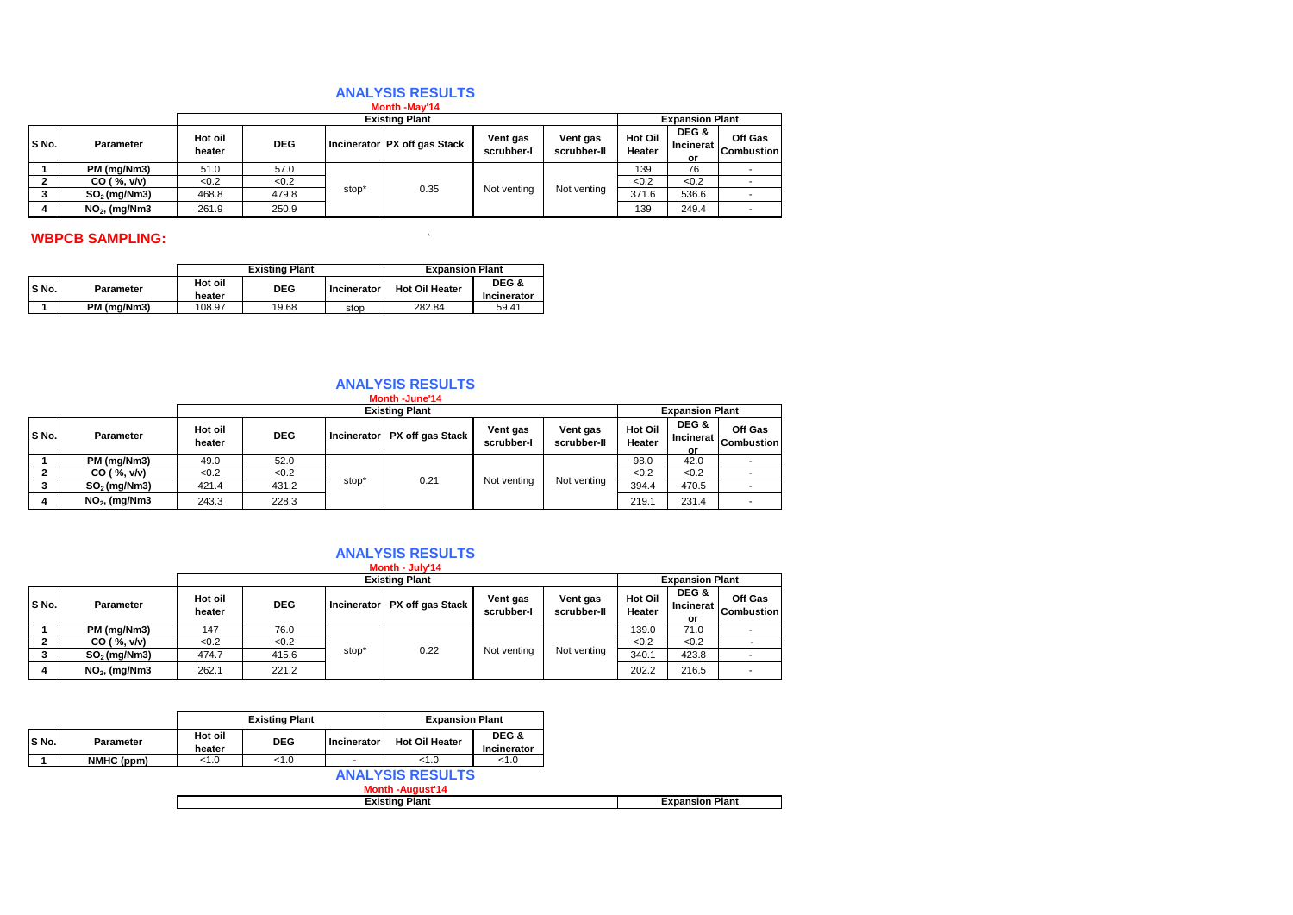## **ANALYSIS RESULTS**

|       | Month -May'14    |                   |                       |       |                              |                        |                         |                   |                          |                              |  |  |
|-------|------------------|-------------------|-----------------------|-------|------------------------------|------------------------|-------------------------|-------------------|--------------------------|------------------------------|--|--|
|       |                  |                   | <b>Existing Plant</b> |       |                              |                        |                         |                   | <b>Expansion Plant</b>   |                              |  |  |
| S No. | <b>Parameter</b> | Hot oil<br>heater | <b>DEG</b>            |       | Incinerator PX off gas Stack | Vent gas<br>scrubber-l | Vent gas<br>scrubber-II | Hot Oil<br>Heater | DEG &<br>Incinerat<br>or | Off Gas<br><b>Combustion</b> |  |  |
|       | PM (mg/Nm3)      | 51.0              | 57.0                  |       |                              |                        | Not venting             | 139               | 76                       |                              |  |  |
| ີ     | CO ( %, v/v)     | < 0.2             | <0.2                  |       |                              |                        |                         | < 0.2             | < 0.2                    |                              |  |  |
| 3.    | $SO2$ (mg/Nm3)   | 468.8             | 479.8                 | stop* | 0.35                         | Not venting            |                         | 371.6             | 536.6                    |                              |  |  |
| 4     | $NO2$ , (mg/Nm3  | 261.9             | 250.9                 |       |                              |                        |                         | 139               | 249.4                    | ۰.                           |  |  |

# **WBPCB SAMPLING:**  $\blacksquare$

|       |                  |                   | <b>Existing Plant</b> | <b>Expansion Plant</b> |                       |                      |
|-------|------------------|-------------------|-----------------------|------------------------|-----------------------|----------------------|
| S No. | <b>Parameter</b> | Hot oil<br>heater | <b>DEG</b>            | <b>Incinerator</b>     | <b>Hot Oil Heater</b> | DEG &<br>Incinerator |
|       | PM (ma/Nm3)      | 108.97            | 19.68                 | stop                   | 282.84                | 59.41                |

#### **ANALYSIS RESULTS Month -June'14**

|              | <b>MONUT-JUNE 14</b> |                   |                       |       |                                |                        |                         |                   |                                 |                              |  |
|--------------|----------------------|-------------------|-----------------------|-------|--------------------------------|------------------------|-------------------------|-------------------|---------------------------------|------------------------------|--|
|              |                      |                   | <b>Existing Plant</b> |       |                                |                        |                         |                   | <b>Expansion Plant</b>          |                              |  |
| S No.        | <b>Parameter</b>     | Hot oil<br>heater | <b>DEG</b>            |       | Incinerator   PX off gas Stack | Vent gas<br>scrubber-l | Vent gas<br>scrubber-II | Hot Oil<br>Heater | DEG &<br><b>Incinerat</b><br>or | Off Gas<br><b>Combustion</b> |  |
|              | PM (mg/Nm3)          | 49.0              | 52.0                  |       |                                | Not venting            | Not venting             | 98.0              | 42.0                            |                              |  |
|              | CO ( %, v/v)         | <0.2              | < 0.2                 |       |                                |                        |                         | < 0.2             | < 0.2                           |                              |  |
|              | $SO2$ (mg/Nm3)       | 421.4             | 431.2                 | stop' | 0.21                           |                        |                         | 394.4             | 470.5                           |                              |  |
| $\mathbf{a}$ | $NO2$ , (mg/Nm3      | 243.3             | 228.3                 |       |                                |                        |                         | 219.1             | 231.4                           |                              |  |

## **ANALYSIS RESULTS**

|       | Month - July'14 |                       |            |       |                              |                        |                         |                          |                          |                              |  |  |
|-------|-----------------|-----------------------|------------|-------|------------------------------|------------------------|-------------------------|--------------------------|--------------------------|------------------------------|--|--|
|       |                 | <b>Existing Plant</b> |            |       |                              |                        |                         |                          | <b>Expansion Plant</b>   |                              |  |  |
| S No. | Parameter       | Hot oil<br>heater     | <b>DEG</b> |       | Incinerator PX off gas Stack | Vent gas<br>scrubber-l | Vent gas<br>scrubber-II | <b>Hot Oil</b><br>Heater | DEG &<br>Incinerat<br>or | Off Gas<br><b>Combustion</b> |  |  |
|       | PM (mg/Nm3)     | 147                   | 76.0       |       |                              |                        |                         | 139.0                    | 71.0                     |                              |  |  |
|       | CO ( %, v/v)    | < 0.2                 | < 0.2      |       |                              |                        | Not venting             | < 0.2                    | < 0.2                    |                              |  |  |
|       | $SO2$ (mg/Nm3)  | 474.7                 | 415.6      | stop* | 0.22                         | Not venting            |                         | 340.1                    | 423.8                    |                              |  |  |
|       | $NO2$ , (mg/Nm3 | 262.1                 | 221.2      |       |                              |                        |                         | 202.2                    | 216.5                    |                              |  |  |

|       |            |                   | <b>Existing Plant</b> |             | <b>Expansion Plant</b>                            |                      |  |  |  |
|-------|------------|-------------------|-----------------------|-------------|---------------------------------------------------|----------------------|--|--|--|
| S No. | Parameter  | Hot oil<br>heater | <b>DEG</b>            | Incinerator | <b>Hot Oil Heater</b>                             | DEG &<br>Incinerator |  |  |  |
|       | NMHC (ppm) | < 1.0             | 1.0                   |             | < 1.0                                             | 1.0                  |  |  |  |
|       |            |                   |                       |             | <b>ANALYSIS RESULTS</b><br><b>Month-August'14</b> |                      |  |  |  |
|       |            |                   | <b>Existing Plant</b> |             |                                                   |                      |  |  |  |